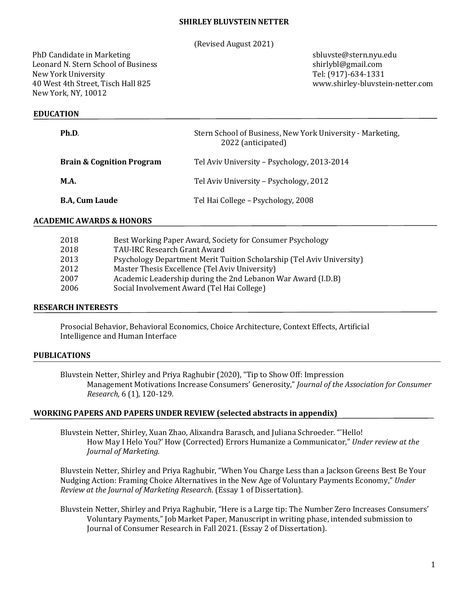### **SHIRLEY BLUVSTEIN NETTER**

(Revised August 2021)

PhD Candidate in Marketing sbluvste@stern.nyu.edu Leonard N. Stern School of Business shirlybl@gmail.com New York University Tel: (917)-634-1331 40 West 4th Street, Tisch Hall 825 www.shirley-bluvstein-netter.com New York, NY, 10012

## **EDUCATION**

| Ph.D.                                | Stern School of Business, New York University - Marketing,<br>2022 (anticipated) |
|--------------------------------------|----------------------------------------------------------------------------------|
| <b>Brain &amp; Cognition Program</b> | Tel Aviv University - Psychology, 2013-2014                                      |
| <b>M.A.</b>                          | Tel Aviv University - Psychology, 2012                                           |
| <b>B.A. Cum Laude</b>                | Tel Hai College - Psychology, 2008                                               |

### **ACADEMIC AWARDS & HONORS**

| 2018 | Best Working Paper Award, Society for Consumer Psychology             |
|------|-----------------------------------------------------------------------|
| 2018 | TAU-IRC Research Grant Award                                          |
| 2013 | Psychology Department Merit Tuition Scholarship (Tel Aviv University) |
| 2012 | Master Thesis Excellence (Tel Aviv University)                        |
| 2007 | Academic Leadership during the 2nd Lebanon War Award (I.D.B)          |
| 2006 | Social Involvement Award (Tel Hai College)                            |
|      |                                                                       |

#### **RESEARCH INTERESTS**

Prosocial Behavior, Behavioral Economics, Choice Architecture, Context Effects, Artificial Intelligence and Human Interface

#### **PUBLICATIONS**

Bluvstein Netter, Shirley and Priya Raghubir (2020), "Tip to Show Off: Impression Management Motivations Increase Consumers' Generosity," *Journal of the Association for Consumer Research,* 6 (1)*,* 120-129*.*

#### **WORKING PAPERS AND PAPERS UNDER REVIEW (selected abstracts in appendix)**

Bluvstein Netter, Shirley, Xuan Zhao, Alixandra Barasch, and Juliana Schroeder. "'Hello! How May I Helo You?' How (Corrected) Errors Humanize a Communicator," *Under review at the Journal of Marketing.*

Bluvstein Netter, Shirley and Priya Raghubir, "When You Charge Less than a Jackson Greens Best Be Your Nudging Action: Framing Choice Alternatives in the New Age of Voluntary Payments Economy," *Under Review at the Journal of Marketing Research*. (Essay 1 of Dissertation).

Bluvstein Netter, Shirley and Priya Raghubir, "Here is a Large tip: The Number Zero Increases Consumers' Voluntary Payments," Job Market Paper, Manuscript in writing phase, intended submission to Journal of Consumer Research in Fall 2021. (Essay 2 of Dissertation).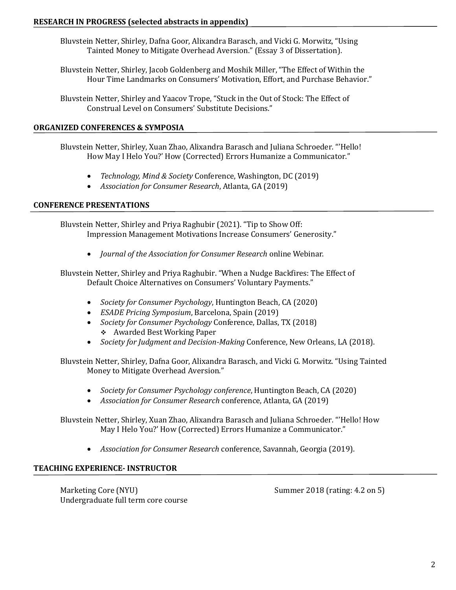Bluvstein Netter, Shirley, Dafna Goor, Alixandra Barasch, and Vicki G. Morwitz, "Using Tainted Money to Mitigate Overhead Aversion." (Essay 3 of Dissertation).

Bluvstein Netter, Shirley, Jacob Goldenberg and Moshik Miller, "The Effect of Within the Hour Time Landmarks on Consumers' Motivation, Effort, and Purchase Behavior."

Bluvstein Netter, Shirley and Yaacov Trope, "Stuck in the Out of Stock: The Effect of Construal Level on Consumers' Substitute Decisions."

# **ORGANIZED CONFERENCES & SYMPOSIA**

Bluvstein Netter, Shirley, Xuan Zhao, Alixandra Barasch and Juliana Schroeder. "'Hello! How May I Helo You?' How (Corrected) Errors Humanize a Communicator."

- *Technology, Mind & Society* Conference, Washington, DC (2019)
- *Association for Consumer Research*, Atlanta, GA (2019)

# **CONFERENCE PRESENTATIONS**

Bluvstein Netter, Shirley and Priya Raghubir (2021). "Tip to Show Off: Impression Management Motivations Increase Consumers' Generosity."

• *Journal of the Association for Consumer Research* online Webinar.

Bluvstein Netter, Shirley and Priya Raghubir. "When a Nudge Backfires: The Effect of Default Choice Alternatives on Consumers' Voluntary Payments."

- *Society for Consumer Psychology*, Huntington Beach, CA (2020)
- *ESADE Pricing Symposium*, Barcelona, Spain (2019)
- *Society for Consumer Psychology* Conference, Dallas, TX (2018) ❖ Awarded Best Working Paper
- *Society for Judgment and Decision-Making* Conference, New Orleans, LA (2018).

Bluvstein Netter, Shirley, Dafna Goor, Alixandra Barasch, and Vicki G. Morwitz. "Using Tainted Money to Mitigate Overhead Aversion."

- *Society for Consumer Psychology conference*, Huntington Beach, CA (2020)
- *Association for Consumer Research* conference, Atlanta, GA (2019)

Bluvstein Netter, Shirley, Xuan Zhao, Alixandra Barasch and Juliana Schroeder. "'Hello! How May I Helo You?' How (Corrected) Errors Humanize a Communicator."

• *Association for Consumer Research* conference, Savannah, Georgia (2019).

# **TEACHING EXPERIENCE- INSTRUCTOR**

Marketing Core (NYU) Summer 2018 (rating: 4.2 on 5) Undergraduate full term core course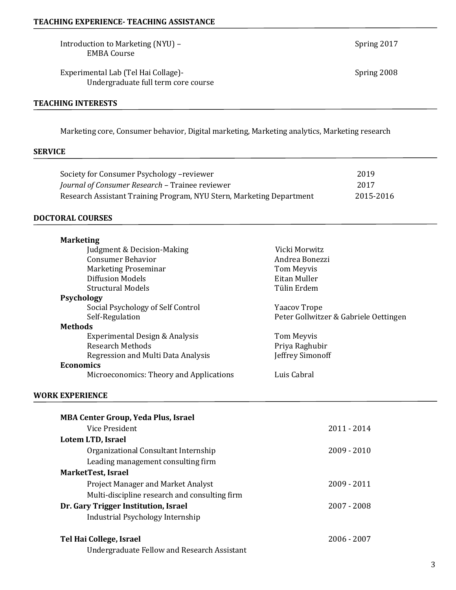Introduction to Marketing (NYU) – Spring 2017 EMBA Course

Experimental Lab (Tel Hai Collage)-<br>
Spring 2008 Undergraduate full term core course

## **TEACHING INTERESTS**

Marketing core, Consumer behavior, Digital marketing, Marketing analytics, Marketing research

## **SERVICE**

| Society for Consumer Psychology -reviewer                            | 2019      |
|----------------------------------------------------------------------|-----------|
| Journal of Consumer Research – Trainee reviewer                      | 2017      |
| Research Assistant Training Program, NYU Stern, Marketing Department | 2015-2016 |

# **DOCTORAL COURSES**

| <b>Marketing</b>                        |                                       |
|-----------------------------------------|---------------------------------------|
| Judgment & Decision-Making              | Vicki Morwitz                         |
| <b>Consumer Behavior</b>                | Andrea Bonezzi                        |
| Marketing Proseminar                    | Tom Meyvis                            |
| Diffusion Models                        | Eitan Muller                          |
| <b>Structural Models</b>                | Tülin Erdem                           |
| <b>Psychology</b>                       |                                       |
| Social Psychology of Self Control       | <b>Yaacov Trope</b>                   |
| Self-Regulation                         | Peter Gollwitzer & Gabriele Oettingen |
| <b>Methods</b>                          |                                       |
| Experimental Design & Analysis          | Tom Meyvis                            |
| <b>Research Methods</b>                 | Priya Raghubir                        |
| Regression and Multi Data Analysis      | Jeffrey Simonoff                      |
| <b>Economics</b>                        |                                       |
| Microeconomics: Theory and Applications | Luis Cabral                           |

## **WORK EXPERIENCE**

| <b>MBA Center Group, Yeda Plus, Israel</b>         |               |
|----------------------------------------------------|---------------|
| Vice President                                     | $2011 - 2014$ |
| Lotem LTD, Israel                                  |               |
| Organizational Consultant Internship               | $2009 - 2010$ |
| Leading management consulting firm                 |               |
| MarketTest, Israel                                 |               |
| <b>Project Manager and Market Analyst</b>          | 2009 - 2011   |
| Multi-discipline research and consulting firm      |               |
| Dr. Gary Trigger Institution, Israel               | $2007 - 2008$ |
| Industrial Psychology Internship                   |               |
| Tel Hai College, Israel                            | 2006 - 2007   |
| <b>Undergraduate Fellow and Research Assistant</b> |               |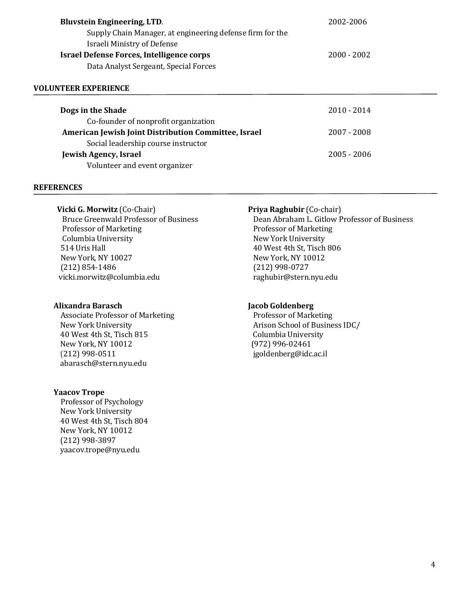| <b>Bluvstein Engineering, LTD.</b>                        | 2002-2006     |
|-----------------------------------------------------------|---------------|
| Supply Chain Manager, at engineering defense firm for the |               |
| Israeli Ministry of Defense                               |               |
| <b>Israel Defense Forces, Intelligence corps</b>          | $2000 - 2002$ |
| Data Analyst Sergeant, Special Forces                     |               |
|                                                           |               |

## **VOLUNTEER EXPERIENCE**

| Dogs in the Shade                                    | $2010 - 2014$ |
|------------------------------------------------------|---------------|
| Co-founder of nonprofit organization                 |               |
| American Jewish Joint Distribution Committee, Israel | $2007 - 2008$ |
| Social leadership course instructor                  |               |
| <b>Jewish Agency, Israel</b>                         | $2005 - 2006$ |
| Volunteer and event organizer                        |               |

#### **REFERENCES**

**Vicki G. Morwitz** (Co-Chair) **Priya Raghubir** (Co-chair) Professor of Marketing Theorem 2012 September 2014 and Professor of Marketing Columbia University **New York University**  514 Uris Hall 40 West 4th St, Tisch 806 New York, NY 10027 New York, NY 10012 (212) 854-1486 (212) 998-0727 vicki.morwitz@columbia.edu raghubir@stern.nyu.edu

Associate Professor of Marketing Professor of Marketing New York University Arison School of Busines[s IDC/](http://portal.idc.ac.il/he/schools/business/homepage/pages/homepage.aspx) 40 West 4th St, Tisch 815 Columbia University New York, NY 10012 (972) 996-02461 (212) 998-0511 jgoldenberg@idc.ac.il [abarasch@stern.nyu.edu](mailto:abarasch@stern.nyu.edu)

#### **Yaacov Trope**

Professor of Psychology New York University 40 West 4th St, Tisch 804 New York, NY 10012 (212) 998-3897 yaacov.trope@nyu.edu

Bruce Greenwald Professor of Business Dean Abraham L. Gitlow Professor of Business

#### **Alixandra Barasch Jacob Goldenberg**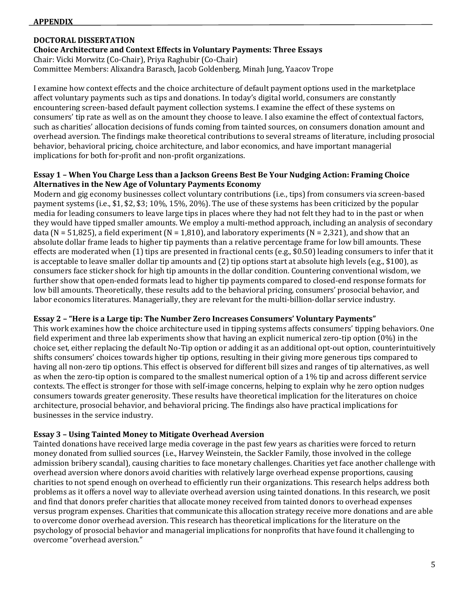## **APPENDIX**

# **DOCTORAL DISSERTATION**

**Choice Architecture and Context Effects in Voluntary Payments: Three Essays** Chair: Vicki Morwitz (Co-Chair), Priya Raghubir (Co-Chair) Committee Members: Alixandra Barasch, Jacob Goldenberg, Minah Jung, Yaacov Trope

I examine how context effects and the choice architecture of default payment options used in the marketplace affect voluntary payments such as tips and donations. In today's digital world, consumers are constantly encountering screen-based default payment collection systems. I examine the effect of these systems on consumers' tip rate as well as on the amount they choose to leave. I also examine the effect of contextual factors, such as charities' allocation decisions of funds coming from tainted sources, on consumers donation amount and overhead aversion. The findings make theoretical contributions to several streams of literature, including prosocial behavior, behavioral pricing, choice architecture, and labor economics, and have important managerial implications for both for-profit and non-profit organizations.

# **Essay 1 – When You Charge Less than a Jackson Greens Best Be Your Nudging Action: Framing Choice Alternatives in the New Age of Voluntary Payments Economy**

Modern and gig economy businesses collect voluntary contributions (i.e., tips) from consumers via screen-based payment systems (i.e., \$1, \$2, \$3; 10%, 15%, 20%). The use of these systems has been criticized by the popular media for leading consumers to leave large tips in places where they had not felt they had to in the past or when they would have tipped smaller amounts. We employ a multi-method approach, including an analysis of secondary data (N = 51,825), a field experiment (N = 1,810), and laboratory experiments (N = 2,321), and show that an absolute dollar frame leads to higher tip payments than a relative percentage frame for low bill amounts. These effects are moderated when  $(1)$  tips are presented in fractional cents (e.g., \$0.50) leading consumers to infer that it is acceptable to leave smaller dollar tip amounts and (2) tip options start at absolute high levels (e.g., \$100), as consumers face sticker shock for high tip amounts in the dollar condition. Countering conventional wisdom, we further show that open-ended formats lead to higher tip payments compared to closed-end response formats for low bill amounts. Theoretically, these results add to the behavioral pricing, consumers' prosocial behavior, and labor economics literatures. Managerially, they are relevant for the multi-billion-dollar service industry.

## **Essay 2 – "Here is a Large tip: The Number Zero Increases Consumers' Voluntary Payments"**

This work examines how the choice architecture used in tipping systems affects consumers' tipping behaviors. One field experiment and three lab experiments show that having an explicit numerical zero-tip option (0%) in the choice set, either replacing the default No-Tip option or adding it as an additional opt-out option, counterintuitively shifts consumers' choices towards higher tip options, resulting in their giving more generous tips compared to having all non-zero tip options. This effect is observed for different bill sizes and ranges of tip alternatives, as well as when the zero-tip option is compared to the smallest numerical option of a 1% tip and across different service contexts. The effect is stronger for those with self-image concerns, helping to explain why he zero option nudges consumers towards greater generosity. These results have theoretical implication for the literatures on choice architecture, prosocial behavior, and behavioral pricing. The findings also have practical implications for businesses in the service industry.

# **Essay 3 – Using Tainted Money to Mitigate Overhead Aversion**

Tainted donations have received large media coverage in the past few years as charities were forced to return money donated from sullied sources (i.e., Harvey Weinstein, the Sackler Family, those involved in the college admission bribery scandal), causing charities to face monetary challenges. Charities yet face another challenge with overhead aversion where donors avoid charities with relatively large overhead expense proportions, causing charities to not spend enough on overhead to efficiently run their organizations. This research helps address both problems as it offers a novel way to alleviate overhead aversion using tainted donations. In this research, we posit and find that donors prefer charities that allocate money received from tainted donors to overhead expenses versus program expenses. Charities that communicate this allocation strategy receive more donations and are able to overcome donor overhead aversion. This research has theoretical implications for the literature on the psychology of prosocial behavior and managerial implications for nonprofits that have found it challenging to overcome "overhead aversion."